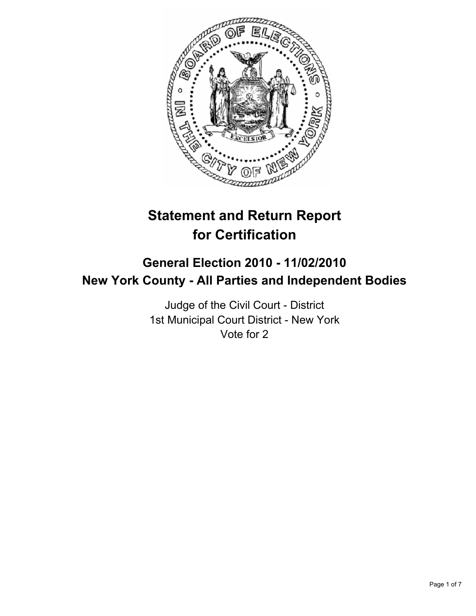

# **Statement and Return Report for Certification**

## **General Election 2010 - 11/02/2010 New York County - All Parties and Independent Bodies**

Judge of the Civil Court - District 1st Municipal Court District - New York Vote for 2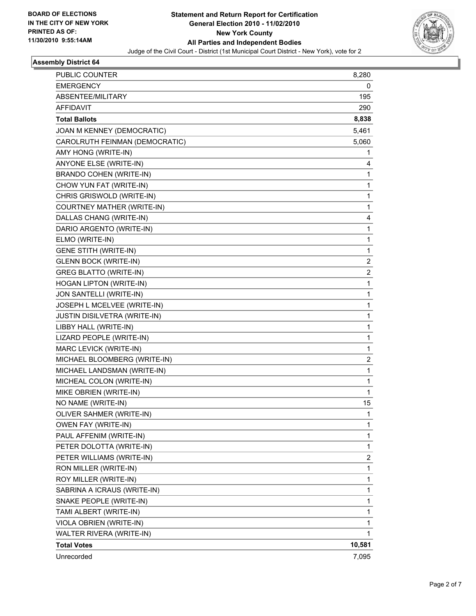

#### **Assembly District 64**

| <b>PUBLIC COUNTER</b>               | 8,280  |
|-------------------------------------|--------|
| <b>EMERGENCY</b>                    | 0      |
| ABSENTEE/MILITARY                   | 195    |
| <b>AFFIDAVIT</b>                    | 290    |
| <b>Total Ballots</b>                | 8,838  |
| JOAN M KENNEY (DEMOCRATIC)          | 5,461  |
| CAROLRUTH FEINMAN (DEMOCRATIC)      | 5,060  |
| AMY HONG (WRITE-IN)                 | 1      |
| ANYONE ELSE (WRITE-IN)              | 4      |
| BRANDO COHEN (WRITE-IN)             | 1      |
| CHOW YUN FAT (WRITE-IN)             | 1      |
| CHRIS GRISWOLD (WRITE-IN)           | 1      |
| COURTNEY MATHER (WRITE-IN)          | 1      |
| DALLAS CHANG (WRITE-IN)             | 4      |
| DARIO ARGENTO (WRITE-IN)            | 1      |
| ELMO (WRITE-IN)                     | 1      |
| <b>GENE STITH (WRITE-IN)</b>        | 1      |
| <b>GLENN BOCK (WRITE-IN)</b>        | 2      |
| <b>GREG BLATTO (WRITE-IN)</b>       | 2      |
| HOGAN LIPTON (WRITE-IN)             | 1      |
| JON SANTELLI (WRITE-IN)             | 1      |
| JOSEPH L MCELVEE (WRITE-IN)         | 1      |
| <b>JUSTIN DISILVETRA (WRITE-IN)</b> | 1      |
| LIBBY HALL (WRITE-IN)               | 1      |
| LIZARD PEOPLE (WRITE-IN)            | 1      |
| MARC LEVICK (WRITE-IN)              | 1      |
| MICHAEL BLOOMBERG (WRITE-IN)        | 2      |
| MICHAEL LANDSMAN (WRITE-IN)         | 1      |
| MICHEAL COLON (WRITE-IN)            | 1      |
| MIKE OBRIEN (WRITE-IN)              | 1      |
| NO NAME (WRITE-IN)                  | 15     |
| OLIVER SAHMER (WRITE-IN)            | 1      |
| OWEN FAY (WRITE-IN)                 | 1      |
| PAUL AFFENIM (WRITE-IN)             | 1      |
| PETER DOLOTTA (WRITE-IN)            | 1      |
| PETER WILLIAMS (WRITE-IN)           | 2      |
| RON MILLER (WRITE-IN)               | 1      |
| ROY MILLER (WRITE-IN)               | 1      |
| SABRINA A ICRAUS (WRITE-IN)         | 1      |
| SNAKE PEOPLE (WRITE-IN)             | 1      |
| TAMI ALBERT (WRITE-IN)              | 1      |
| VIOLA OBRIEN (WRITE-IN)             | 1      |
| WALTER RIVERA (WRITE-IN)            | 1      |
| <b>Total Votes</b>                  | 10,581 |
| Unrecorded                          | 7,095  |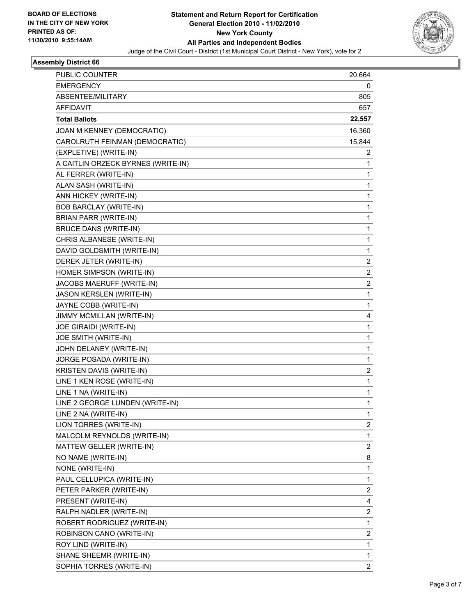

### **Assembly District 66**

| <b>PUBLIC COUNTER</b>              | 20,664                  |
|------------------------------------|-------------------------|
| <b>EMERGENCY</b>                   | 0                       |
| ABSENTEE/MILITARY                  | 805                     |
| <b>AFFIDAVIT</b>                   | 657                     |
| <b>Total Ballots</b>               | 22,557                  |
| JOAN M KENNEY (DEMOCRATIC)         | 16,360                  |
| CAROLRUTH FEINMAN (DEMOCRATIC)     | 15,844                  |
| (EXPLETIVE) (WRITE-IN)             | 2                       |
| A CAITLIN ORZECK BYRNES (WRITE-IN) | 1                       |
| AL FERRER (WRITE-IN)               | 1                       |
| ALAN SASH (WRITE-IN)               | 1                       |
| ANN HICKEY (WRITE-IN)              | 1                       |
| <b>BOB BARCLAY (WRITE-IN)</b>      | 1                       |
| BRIAN PARR (WRITE-IN)              | 1                       |
| <b>BRUCE DANS (WRITE-IN)</b>       | 1                       |
| CHRIS ALBANESE (WRITE-IN)          | 1                       |
| DAVID GOLDSMITH (WRITE-IN)         | 1                       |
| DEREK JETER (WRITE-IN)             | 2                       |
| HOMER SIMPSON (WRITE-IN)           | $\overline{2}$          |
| JACOBS MAERUFF (WRITE-IN)          | $\overline{\mathbf{c}}$ |
| JASON KERSLEN (WRITE-IN)           | 1                       |
| JAYNE COBB (WRITE-IN)              | $\mathbf 1$             |
| JIMMY MCMILLAN (WRITE-IN)          | 4                       |
| JOE GIRAIDI (WRITE-IN)             | 1                       |
| JOE SMITH (WRITE-IN)               | 1                       |
| JOHN DELANEY (WRITE-IN)            | 1                       |
| JORGE POSADA (WRITE-IN)            | 1                       |
| KRISTEN DAVIS (WRITE-IN)           | 2                       |
| LINE 1 KEN ROSE (WRITE-IN)         | 1                       |
| LINE 1 NA (WRITE-IN)               | 1                       |
| LINE 2 GEORGE LUNDEN (WRITE-IN)    | 1                       |
| LINE 2 NA (WRITE-IN)               | 1                       |
| LION TORRES (WRITE-IN)             | 2                       |
| MALCOLM REYNOLDS (WRITE-IN)        | 1                       |
| MATTEW GELLER (WRITE-IN)           | $\overline{2}$          |
| NO NAME (WRITE-IN)                 | 8                       |
| NONE (WRITE-IN)                    | $\mathbf 1$             |
| PAUL CELLUPICA (WRITE-IN)          | 1                       |
| PETER PARKER (WRITE-IN)            | 2                       |
| PRESENT (WRITE-IN)                 | 4                       |
| RALPH NADLER (WRITE-IN)            | $\overline{2}$          |
| ROBERT RODRIGUEZ (WRITE-IN)        | 1                       |
| ROBINSON CANO (WRITE-IN)           | $\overline{2}$          |
| ROY LIND (WRITE-IN)                | 1                       |
| SHANE SHEEMR (WRITE-IN)            | $\mathbf{1}$            |
| SOPHIA TORRES (WRITE-IN)           | $\overline{2}$          |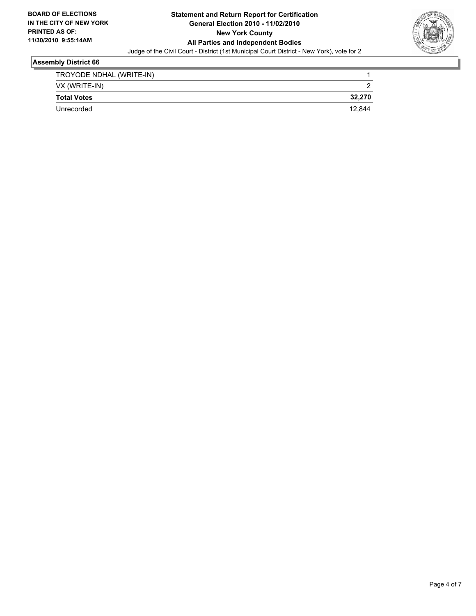

## **Assembly District 66**

| TROYODE NDHAL (WRITE-IN) |        |
|--------------------------|--------|
| VX (WRITE-IN)            |        |
| <b>Total Votes</b>       | 32.270 |
| Unrecorded               | 12.844 |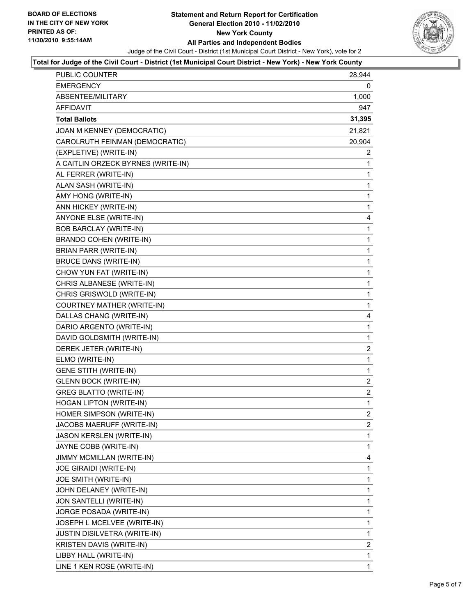

#### **Total for Judge of the Civil Court - District (1st Municipal Court District - New York) - New York County**

| <b>PUBLIC COUNTER</b>              | 28,944         |
|------------------------------------|----------------|
| <b>EMERGENCY</b>                   | 0              |
| ABSENTEE/MILITARY                  | 1,000          |
| AFFIDAVIT                          | 947            |
| <b>Total Ballots</b>               | 31,395         |
| JOAN M KENNEY (DEMOCRATIC)         | 21,821         |
| CAROLRUTH FEINMAN (DEMOCRATIC)     | 20,904         |
| (EXPLETIVE) (WRITE-IN)             | 2              |
| A CAITLIN ORZECK BYRNES (WRITE-IN) | 1              |
| AL FERRER (WRITE-IN)               | 1              |
| ALAN SASH (WRITE-IN)               | 1              |
| AMY HONG (WRITE-IN)                | 1              |
| ANN HICKEY (WRITE-IN)              | $\mathbf 1$    |
| ANYONE ELSE (WRITE-IN)             | 4              |
| BOB BARCLAY (WRITE-IN)             | $\mathbf{1}$   |
| BRANDO COHEN (WRITE-IN)            | 1              |
| BRIAN PARR (WRITE-IN)              | 1              |
| <b>BRUCE DANS (WRITE-IN)</b>       | $\mathbf 1$    |
| CHOW YUN FAT (WRITE-IN)            | $\mathbf 1$    |
| CHRIS ALBANESE (WRITE-IN)          | 1              |
| CHRIS GRISWOLD (WRITE-IN)          | $\mathbf{1}$   |
| COURTNEY MATHER (WRITE-IN)         | 1              |
| DALLAS CHANG (WRITE-IN)            | 4              |
| DARIO ARGENTO (WRITE-IN)           | $\mathbf{1}$   |
| DAVID GOLDSMITH (WRITE-IN)         | $\mathbf 1$    |
| DEREK JETER (WRITE-IN)             | $\overline{2}$ |
| ELMO (WRITE-IN)                    | $\mathbf{1}$   |
| <b>GENE STITH (WRITE-IN)</b>       | 1              |
| <b>GLENN BOCK (WRITE-IN)</b>       | $\overline{2}$ |
| <b>GREG BLATTO (WRITE-IN)</b>      | $\overline{2}$ |
| HOGAN LIPTON (WRITE-IN)            | $\mathbf 1$    |
| HOMER SIMPSON (WRITE-IN)           | $\overline{2}$ |
| JACOBS MAERUFF (WRITE-IN)          | $\mathbf{2}$   |
| <b>JASON KERSLEN (WRITE-IN)</b>    | $\mathbf 1$    |
| JAYNE COBB (WRITE-IN)              | 1              |
| JIMMY MCMILLAN (WRITE-IN)          | 4              |
| JOE GIRAIDI (WRITE-IN)             | 1              |
| JOE SMITH (WRITE-IN)               | 1              |
| JOHN DELANEY (WRITE-IN)            | 1              |
| JON SANTELLI (WRITE-IN)            | $\mathbf 1$    |
| JORGE POSADA (WRITE-IN)            | 1              |
| JOSEPH L MCELVEE (WRITE-IN)        | 1              |
| JUSTIN DISILVETRA (WRITE-IN)       | 1              |
| KRISTEN DAVIS (WRITE-IN)           | $\overline{2}$ |
| LIBBY HALL (WRITE-IN)              | 1              |
| LINE 1 KEN ROSE (WRITE-IN)         | $\mathbf{1}$   |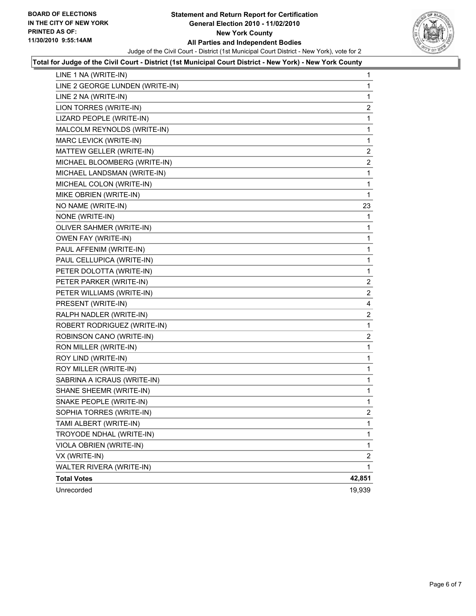

#### **Total for Judge of the Civil Court - District (1st Municipal Court District - New York) - New York County**

| LINE 1 NA (WRITE-IN)            | 1                       |
|---------------------------------|-------------------------|
| LINE 2 GEORGE LUNDEN (WRITE-IN) | 1                       |
| LINE 2 NA (WRITE-IN)            | 1                       |
| LION TORRES (WRITE-IN)          | 2                       |
| LIZARD PEOPLE (WRITE-IN)        | 1                       |
| MALCOLM REYNOLDS (WRITE-IN)     | 1                       |
| MARC LEVICK (WRITE-IN)          | 1                       |
| MATTEW GELLER (WRITE-IN)        | 2                       |
| MICHAEL BLOOMBERG (WRITE-IN)    | 2                       |
| MICHAEL LANDSMAN (WRITE-IN)     | 1                       |
| MICHEAL COLON (WRITE-IN)        | 1                       |
| MIKE OBRIEN (WRITE-IN)          | 1                       |
| NO NAME (WRITE-IN)              | 23                      |
| NONE (WRITE-IN)                 | 1                       |
| OLIVER SAHMER (WRITE-IN)        | 1                       |
| OWEN FAY (WRITE-IN)             | 1                       |
| PAUL AFFENIM (WRITE-IN)         | 1                       |
| PAUL CELLUPICA (WRITE-IN)       | 1                       |
| PETER DOLOTTA (WRITE-IN)        | 1                       |
| PETER PARKER (WRITE-IN)         | 2                       |
| PETER WILLIAMS (WRITE-IN)       | 2                       |
| PRESENT (WRITE-IN)              | 4                       |
| RALPH NADLER (WRITE-IN)         | 2                       |
| ROBERT RODRIGUEZ (WRITE-IN)     | 1                       |
| ROBINSON CANO (WRITE-IN)        | 2                       |
| RON MILLER (WRITE-IN)           | 1                       |
| ROY LIND (WRITE-IN)             | 1                       |
| ROY MILLER (WRITE-IN)           | 1                       |
| SABRINA A ICRAUS (WRITE-IN)     | 1                       |
| SHANE SHEEMR (WRITE-IN)         | 1                       |
| SNAKE PEOPLE (WRITE-IN)         | 1                       |
| SOPHIA TORRES (WRITE-IN)        | 2                       |
| TAMI ALBERT (WRITE-IN)          | 1                       |
| TROYODE NDHAL (WRITE-IN)        | 1                       |
| VIOLA OBRIEN (WRITE-IN)         | 1                       |
| VX (WRITE-IN)                   | $\overline{\mathbf{c}}$ |
| WALTER RIVERA (WRITE-IN)        | 1                       |
| <b>Total Votes</b>              | 42,851                  |
| Unrecorded                      | 19,939                  |